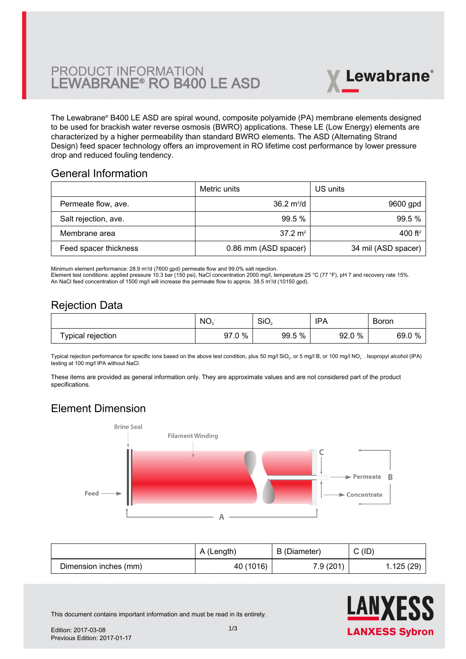

The Lewabrane® B400 LE ASD are spiral wound, composite polyamide (PA) membrane elements designed [to be used for brackish water reverse osmosis \(BWRO\) applications. These LE \(Low Energy\) elements are](https://www.pureaqua.com/lanxess-lewabrane-b400-le-asd-membrane/) characterized by a higher permeability than standard BWRO elements. The ASD (Alternating Strand Design) feed spacer technology offers an improvement in RO lifetime cost performance by lower pressure drop and reduced fouling tendency.

#### General Information

|                       | Metric units                | US units            |
|-----------------------|-----------------------------|---------------------|
| Permeate flow, ave.   | $36.2 \text{ m}^3/\text{d}$ | 9600 gpd            |
| Salt rejection, ave.  | 99.5%                       | 99.5%               |
| Membrane area         | $37.2 \text{ m}^2$          | 400 ft <sup>2</sup> |
| Feed spacer thickness | 0.86 mm (ASD spacer)        | 34 mil (ASD spacer) |

Minimum element performance: 28.9 m<sup>3</sup> /d (7600 gpd) permeate flow and 99.0% salt rejection.

Element test conditions: applied pressure 10.3 bar (150 psi), NaCl concentration 2000 mg/l, temperature 25 °C (77 °F), pH 7 and recovery rate 15%. An NaCl feed concentration of 1500 mg/l will increase the permeate flow to approx. 38.5 m<sup>3</sup>/d (10150 gpd).

## Rejection Data

|                   | NO.           | SiO <sub>2</sub> | <b>IPA</b><br>. | Boron        |
|-------------------|---------------|------------------|-----------------|--------------|
| Typical rejection | $0\%$<br>97.0 | 5 %<br>99.5      | 92.0 %          | 69.0 %<br>70 |

Typical rejection performance for specific ions based on the above test condition, plus 50 mg/l SiO $_2$ , or 5 mg/l B, or 100 mg/l NO $_3$  . Isopropyl alcohol (IPA) testing at 100 mg/l IPA without NaCl.

These items are provided as general information only. They are approximate values and are not considered part of the product specifications.

# Element Dimension



|                       | A (Length) | B (Diameter) | C(ID)     |
|-----------------------|------------|--------------|-----------|
| Dimension inches (mm) | 40 (1016)  | 7.9(201)     | 1.125(29) |



This document contains important information and must be read in its entirety.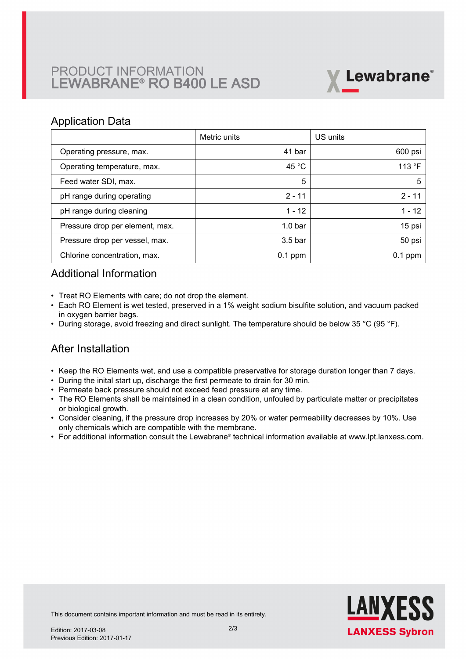## PRODUCT INFORMATION LEWABRANE® RO B400 LE ASD



#### Application Data

|                                 | Metric units       | US units  |
|---------------------------------|--------------------|-----------|
| Operating pressure, max.        | 41 bar             | 600 psi   |
| Operating temperature, max.     | 45 $^{\circ}$ C    | 113 °F    |
| Feed water SDI, max.            | 5                  | 5         |
| pH range during operating       | $2 - 11$           | $2 - 11$  |
| pH range during cleaning        | $1 - 12$           | 1 - 12    |
| Pressure drop per element, max. | 1.0 <sub>bar</sub> | 15 psi    |
| Pressure drop per vessel, max.  | 3.5 <sub>bar</sub> | 50 psi    |
| Chlorine concentration, max.    | $0.1$ ppm          | $0.1$ ppm |

## Additional Information

- Treat RO Elements with care; do not drop the element.
- Each RO Element is wet tested, preserved in a 1% weight sodium bisulfite solution, and vacuum packed in oxygen barrier bags.
- During storage, avoid freezing and direct sunlight. The temperature should be below 35 °C (95 °F).

## After Installation

- Keep the RO Elements wet, and use a compatible preservative for storage duration longer than 7 days.
- During the inital start up, discharge the first permeate to drain for 30 min.
- Permeate back pressure should not exceed feed pressure at any time.
- The RO Elements shall be maintained in a clean condition, unfouled by particulate matter or precipitates or biological growth.
- $\bullet~$  Consider cleaning, if the pressure drop increases by 20% or water permeability decreases by 10%. Use only chemicals which are compatible with the membrane.
- For additional information consult the Lewabrane® technical information available at www.lpt.lanxess.com.



This document contains important information and must be read in its entirety.